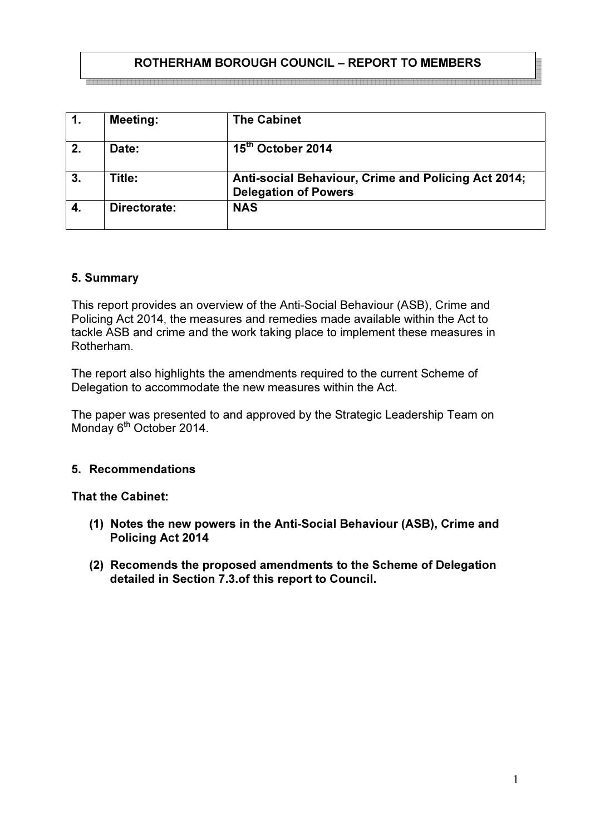### ROTHERHAM BOROUGH COUNCIL – REPORT TO MEMBERS

<u> Lautannadota alguna alguna alguna alguna alguna alguna alguna alguna alguna alguna alguna alguna alguna algun</u>

| 1. | <b>Meeting:</b> | <b>The Cabinet</b>                                                                 |
|----|-----------------|------------------------------------------------------------------------------------|
| 2. | Date:           | 15 <sup>th</sup> October 2014                                                      |
| 3. | Title:          | Anti-social Behaviour, Crime and Policing Act 2014;<br><b>Delegation of Powers</b> |
| 4. | Directorate:    | <b>NAS</b>                                                                         |

#### 5. Summary

This report provides an overview of the Anti-Social Behaviour (ASB), Crime and Policing Act 2014, the measures and remedies made available within the Act to tackle ASB and crime and the work taking place to implement these measures in Rotherham.

The report also highlights the amendments required to the current Scheme of Delegation to accommodate the new measures within the Act.

The paper was presented to and approved by the Strategic Leadership Team on Monday 6<sup>th</sup> October 2014.

### 5. Recommendations

#### That the Cabinet:

- (1) Notes the new powers in the Anti-Social Behaviour (ASB), Crime and Policing Act 2014
- (2) Recomends the proposed amendments to the Scheme of Delegation detailed in Section 7.3.of this report to Council.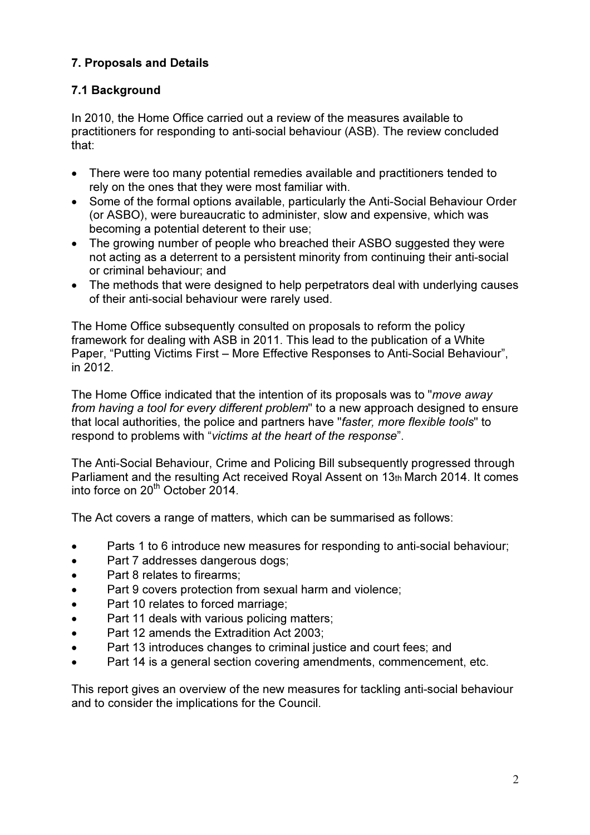# 7. Proposals and Details

# 7.1 Background

In 2010, the Home Office carried out a review of the measures available to practitioners for responding to anti-social behaviour (ASB). The review concluded that:

- There were too many potential remedies available and practitioners tended to rely on the ones that they were most familiar with.
- Some of the formal options available, particularly the Anti-Social Behaviour Order (or ASBO), were bureaucratic to administer, slow and expensive, which was becoming a potential deterent to their use;
- The growing number of people who breached their ASBO suggested they were not acting as a deterrent to a persistent minority from continuing their anti-social or criminal behaviour; and
- The methods that were designed to help perpetrators deal with underlying causes of their anti-social behaviour were rarely used.

The Home Office subsequently consulted on proposals to reform the policy framework for dealing with ASB in 2011. This lead to the publication of a White Paper, "Putting Victims First – More Effective Responses to Anti-Social Behaviour", in 2012.

The Home Office indicated that the intention of its proposals was to "move away" from having a tool for every different problem" to a new approach designed to ensure that local authorities, the police and partners have "faster, more flexible tools" to respond to problems with "victims at the heart of the response".

The Anti-Social Behaviour, Crime and Policing Bill subsequently progressed through Parliament and the resulting Act received Royal Assent on 13th March 2014. It comes into force on  $20<sup>th</sup>$  October 2014.

The Act covers a range of matters, which can be summarised as follows:

- Parts 1 to 6 introduce new measures for responding to anti-social behaviour;
- Part 7 addresses dangerous dogs;
- Part 8 relates to firearms;
- Part 9 covers protection from sexual harm and violence:
- Part 10 relates to forced marriage;
- Part 11 deals with various policing matters;
- Part 12 amends the Extradition Act 2003;
- Part 13 introduces changes to criminal justice and court fees; and
- Part 14 is a general section covering amendments, commencement, etc.

This report gives an overview of the new measures for tackling anti-social behaviour and to consider the implications for the Council.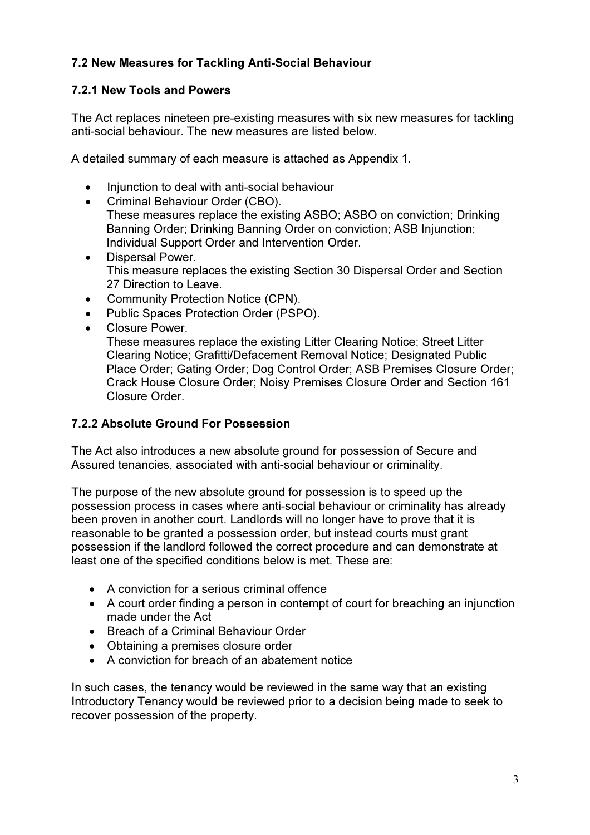# 7.2 New Measures for Tackling Anti-Social Behaviour

### 7.2.1 New Tools and Powers

 The Act replaces nineteen pre-existing measures with six new measures for tackling anti-social behaviour. The new measures are listed below.

A detailed summary of each measure is attached as Appendix 1.

- Injunction to deal with anti-social behaviour
- Criminal Behaviour Order (CBO). These measures replace the existing ASBO; ASBO on conviction; Drinking Banning Order; Drinking Banning Order on conviction; ASB Injunction; Individual Support Order and Intervention Order.
- Dispersal Power. This measure replaces the existing Section 30 Dispersal Order and Section 27 Direction to Leave.
- Community Protection Notice (CPN).
- Public Spaces Protection Order (PSPO).
- Closure Power.

These measures replace the existing Litter Clearing Notice; Street Litter Clearing Notice; Grafitti/Defacement Removal Notice; Designated Public Place Order; Gating Order; Dog Control Order; ASB Premises Closure Order; Crack House Closure Order; Noisy Premises Closure Order and Section 161 Closure Order.

### 7.2.2 Absolute Ground For Possession

The Act also introduces a new absolute ground for possession of Secure and Assured tenancies, associated with anti-social behaviour or criminality.

The purpose of the new absolute ground for possession is to speed up the possession process in cases where anti-social behaviour or criminality has already been proven in another court. Landlords will no longer have to prove that it is reasonable to be granted a possession order, but instead courts must grant possession if the landlord followed the correct procedure and can demonstrate at least one of the specified conditions below is met. These are:

- A conviction for a serious criminal offence
- A court order finding a person in contempt of court for breaching an injunction made under the Act
- Breach of a Criminal Behaviour Order
- Obtaining a premises closure order
- A conviction for breach of an abatement notice

In such cases, the tenancy would be reviewed in the same way that an existing Introductory Tenancy would be reviewed prior to a decision being made to seek to recover possession of the property.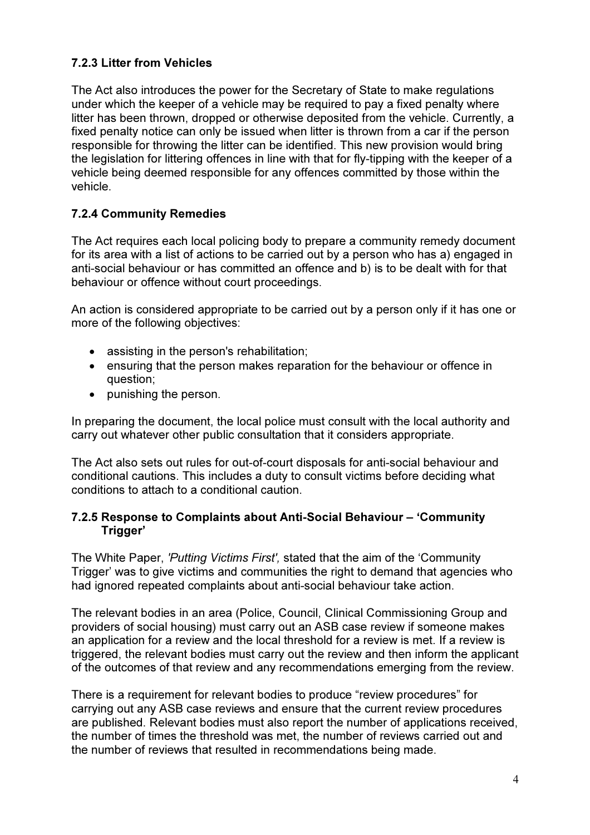### 7.2.3 Litter from Vehicles

The Act also introduces the power for the Secretary of State to make regulations under which the keeper of a vehicle may be required to pay a fixed penalty where litter has been thrown, dropped or otherwise deposited from the vehicle. Currently, a fixed penalty notice can only be issued when litter is thrown from a car if the person responsible for throwing the litter can be identified. This new provision would bring the legislation for littering offences in line with that for fly-tipping with the keeper of a vehicle being deemed responsible for any offences committed by those within the vehicle.

### 7.2.4 Community Remedies

The Act requires each local policing body to prepare a community remedy document for its area with a list of actions to be carried out by a person who has a) engaged in anti-social behaviour or has committed an offence and b) is to be dealt with for that behaviour or offence without court proceedings.

An action is considered appropriate to be carried out by a person only if it has one or more of the following objectives:

- assisting in the person's rehabilitation;
- ensuring that the person makes reparation for the behaviour or offence in question;
- punishing the person.

In preparing the document, the local police must consult with the local authority and carry out whatever other public consultation that it considers appropriate.

The Act also sets out rules for out-of-court disposals for anti-social behaviour and conditional cautions. This includes a duty to consult victims before deciding what conditions to attach to a conditional caution.

#### 7.2.5 Response to Complaints about Anti-Social Behaviour – 'Community Trigger'

The White Paper, 'Putting Victims First', stated that the aim of the 'Community Trigger' was to give victims and communities the right to demand that agencies who had ignored repeated complaints about anti-social behaviour take action.

The relevant bodies in an area (Police, Council, Clinical Commissioning Group and providers of social housing) must carry out an ASB case review if someone makes an application for a review and the local threshold for a review is met. If a review is triggered, the relevant bodies must carry out the review and then inform the applicant of the outcomes of that review and any recommendations emerging from the review.

There is a requirement for relevant bodies to produce "review procedures" for carrying out any ASB case reviews and ensure that the current review procedures are published. Relevant bodies must also report the number of applications received, the number of times the threshold was met, the number of reviews carried out and the number of reviews that resulted in recommendations being made.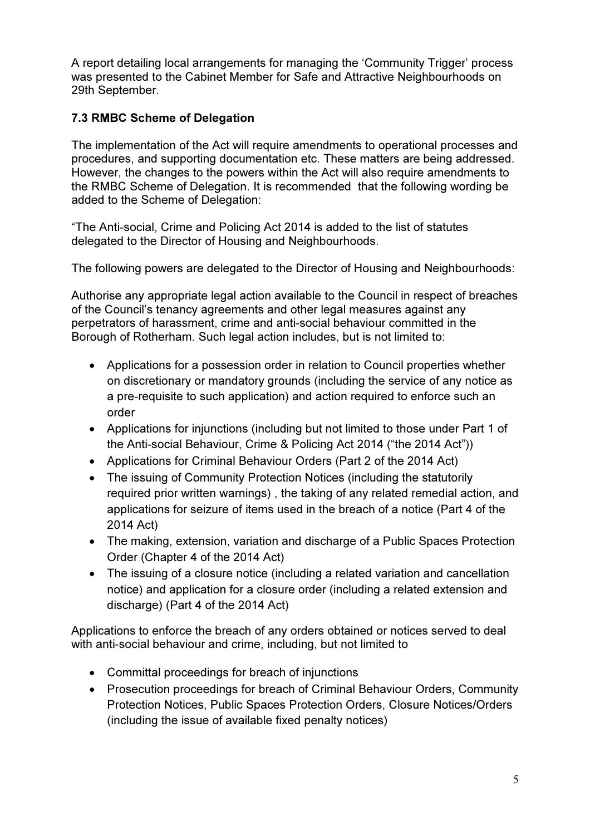A report detailing local arrangements for managing the 'Community Trigger' process was presented to the Cabinet Member for Safe and Attractive Neighbourhoods on 29th September.

## 7.3 RMBC Scheme of Delegation

The implementation of the Act will require amendments to operational processes and procedures, and supporting documentation etc. These matters are being addressed. However, the changes to the powers within the Act will also require amendments to the RMBC Scheme of Delegation. It is recommended that the following wording be added to the Scheme of Delegation:

"The Anti-social, Crime and Policing Act 2014 is added to the list of statutes delegated to the Director of Housing and Neighbourhoods.

The following powers are delegated to the Director of Housing and Neighbourhoods:

Authorise any appropriate legal action available to the Council in respect of breaches of the Council's tenancy agreements and other legal measures against any perpetrators of harassment, crime and anti-social behaviour committed in the Borough of Rotherham. Such legal action includes, but is not limited to:

- Applications for a possession order in relation to Council properties whether on discretionary or mandatory grounds (including the service of any notice as a pre-requisite to such application) and action required to enforce such an order
- Applications for injunctions (including but not limited to those under Part 1 of the Anti-social Behaviour, Crime & Policing Act 2014 ("the 2014 Act"))
- Applications for Criminal Behaviour Orders (Part 2 of the 2014 Act)
- The issuing of Community Protection Notices (including the statutorily required prior written warnings) , the taking of any related remedial action, and applications for seizure of items used in the breach of a notice (Part 4 of the 2014 Act)
- The making, extension, variation and discharge of a Public Spaces Protection Order (Chapter 4 of the 2014 Act)
- The issuing of a closure notice (including a related variation and cancellation notice) and application for a closure order (including a related extension and discharge) (Part 4 of the 2014 Act)

Applications to enforce the breach of any orders obtained or notices served to deal with anti-social behaviour and crime, including, but not limited to

- Committal proceedings for breach of injunctions
- Prosecution proceedings for breach of Criminal Behaviour Orders, Community Protection Notices, Public Spaces Protection Orders, Closure Notices/Orders (including the issue of available fixed penalty notices)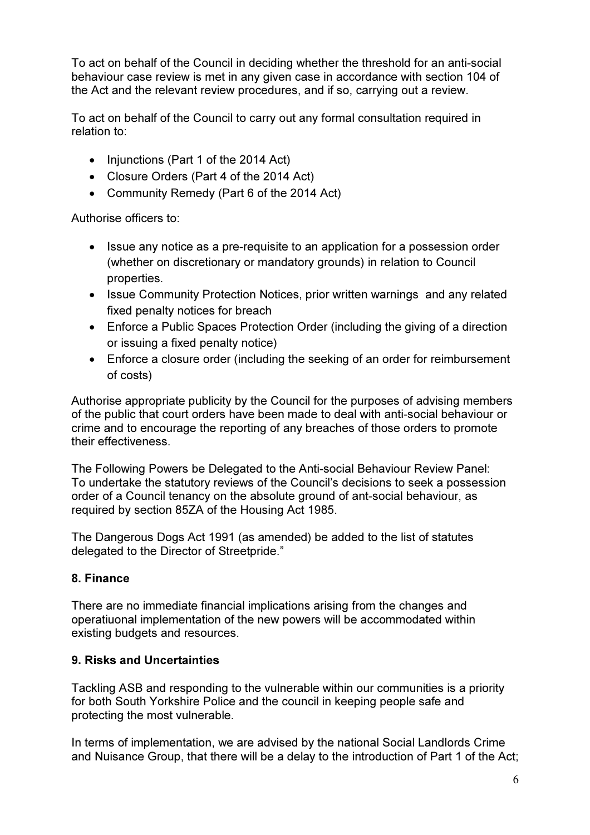To act on behalf of the Council in deciding whether the threshold for an anti-social behaviour case review is met in any given case in accordance with section 104 of the Act and the relevant review procedures, and if so, carrying out a review.

To act on behalf of the Council to carry out any formal consultation required in relation to:

- Injunctions (Part 1 of the 2014 Act)
- Closure Orders (Part 4 of the 2014 Act)
- Community Remedy (Part 6 of the 2014 Act)

Authorise officers to:

- Issue any notice as a pre-requisite to an application for a possession order (whether on discretionary or mandatory grounds) in relation to Council properties.
- Issue Community Protection Notices, prior written warnings and any related fixed penalty notices for breach
- Enforce a Public Spaces Protection Order (including the giving of a direction or issuing a fixed penalty notice)
- Enforce a closure order (including the seeking of an order for reimbursement of costs)

Authorise appropriate publicity by the Council for the purposes of advising members of the public that court orders have been made to deal with anti-social behaviour or crime and to encourage the reporting of any breaches of those orders to promote their effectiveness.

The Following Powers be Delegated to the Anti-social Behaviour Review Panel: To undertake the statutory reviews of the Council's decisions to seek a possession order of a Council tenancy on the absolute ground of ant-social behaviour, as required by section 85ZA of the Housing Act 1985.

The Dangerous Dogs Act 1991 (as amended) be added to the list of statutes delegated to the Director of Streetpride."

### 8. Finance

There are no immediate financial implications arising from the changes and operatiuonal implementation of the new powers will be accommodated within existing budgets and resources.

### 9. Risks and Uncertainties

Tackling ASB and responding to the vulnerable within our communities is a priority for both South Yorkshire Police and the council in keeping people safe and protecting the most vulnerable.

In terms of implementation, we are advised by the national Social Landlords Crime and Nuisance Group, that there will be a delay to the introduction of Part 1 of the Act;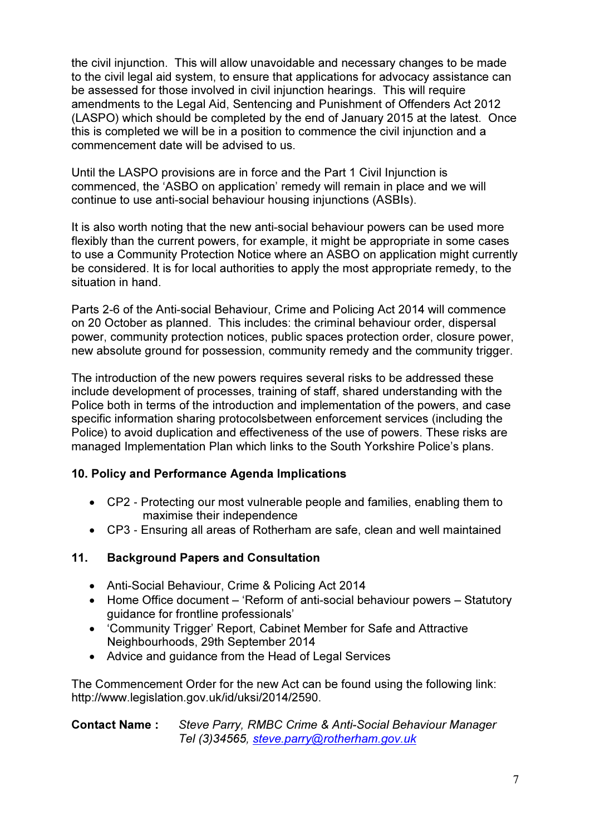the civil injunction. This will allow unavoidable and necessary changes to be made to the civil legal aid system, to ensure that applications for advocacy assistance can be assessed for those involved in civil injunction hearings. This will require amendments to the Legal Aid, Sentencing and Punishment of Offenders Act 2012 (LASPO) which should be completed by the end of January 2015 at the latest. Once this is completed we will be in a position to commence the civil injunction and a commencement date will be advised to us.

Until the LASPO provisions are in force and the Part 1 Civil Injunction is commenced, the 'ASBO on application' remedy will remain in place and we will continue to use anti-social behaviour housing injunctions (ASBIs).

It is also worth noting that the new anti-social behaviour powers can be used more flexibly than the current powers, for example, it might be appropriate in some cases to use a Community Protection Notice where an ASBO on application might currently be considered. It is for local authorities to apply the most appropriate remedy, to the situation in hand.

Parts 2-6 of the Anti-social Behaviour, Crime and Policing Act 2014 will commence on 20 October as planned. This includes: the criminal behaviour order, dispersal power, community protection notices, public spaces protection order, closure power, new absolute ground for possession, community remedy and the community trigger.

The introduction of the new powers requires several risks to be addressed these include development of processes, training of staff, shared understanding with the Police both in terms of the introduction and implementation of the powers, and case specific information sharing protocolsbetween enforcement services (including the Police) to avoid duplication and effectiveness of the use of powers. These risks are managed Implementation Plan which links to the South Yorkshire Police's plans.

### 10. Policy and Performance Agenda Implications

- CP2 Protecting our most vulnerable people and families, enabling them to maximise their independence
- CP3 Ensuring all areas of Rotherham are safe, clean and well maintained

### 11. Background Papers and Consultation

- Anti-Social Behaviour, Crime & Policing Act 2014
- Home Office document 'Reform of anti-social behaviour powers Statutory guidance for frontline professionals'
- 'Community Trigger' Report, Cabinet Member for Safe and Attractive Neighbourhoods, 29th September 2014
- Advice and guidance from the Head of Legal Services

The Commencement Order for the new Act can be found using the following link: http://www.legislation.gov.uk/id/uksi/2014/2590.

#### Contact Name : Steve Parry, RMBC Crime & Anti-Social Behaviour Manager Tel (3)34565, steve.parry@rotherham.gov.uk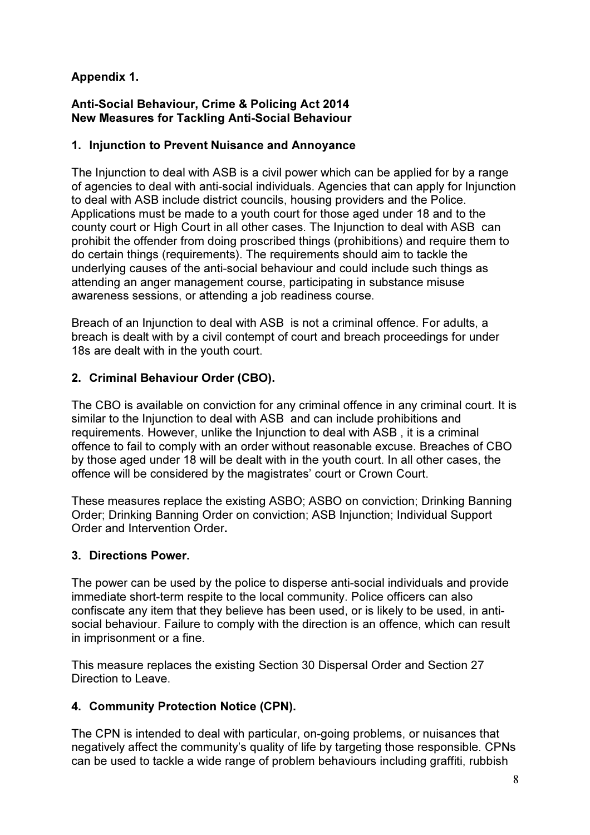## Appendix 1.

#### Anti-Social Behaviour, Crime & Policing Act 2014 New Measures for Tackling Anti-Social Behaviour

#### 1. Injunction to Prevent Nuisance and Annoyance

The Injunction to deal with ASB is a civil power which can be applied for by a range of agencies to deal with anti-social individuals. Agencies that can apply for Injunction to deal with ASB include district councils, housing providers and the Police. Applications must be made to a youth court for those aged under 18 and to the county court or High Court in all other cases. The Injunction to deal with ASB can prohibit the offender from doing proscribed things (prohibitions) and require them to do certain things (requirements). The requirements should aim to tackle the underlying causes of the anti-social behaviour and could include such things as attending an anger management course, participating in substance misuse awareness sessions, or attending a job readiness course.

Breach of an Injunction to deal with ASB is not a criminal offence. For adults, a breach is dealt with by a civil contempt of court and breach proceedings for under 18s are dealt with in the youth court.

### 2. Criminal Behaviour Order (CBO).

The CBO is available on conviction for any criminal offence in any criminal court. It is similar to the Injunction to deal with ASB and can include prohibitions and requirements. However, unlike the Injunction to deal with ASB , it is a criminal offence to fail to comply with an order without reasonable excuse. Breaches of CBO by those aged under 18 will be dealt with in the youth court. In all other cases, the offence will be considered by the magistrates' court or Crown Court.

These measures replace the existing ASBO; ASBO on conviction; Drinking Banning Order; Drinking Banning Order on conviction; ASB Injunction; Individual Support Order and Intervention Order.

### 3. Directions Power.

The power can be used by the police to disperse anti-social individuals and provide immediate short-term respite to the local community. Police officers can also confiscate any item that they believe has been used, or is likely to be used, in antisocial behaviour. Failure to comply with the direction is an offence, which can result in imprisonment or a fine.

This measure replaces the existing Section 30 Dispersal Order and Section 27 Direction to Leave.

#### 4. Community Protection Notice (CPN).

The CPN is intended to deal with particular, on-going problems, or nuisances that negatively affect the community's quality of life by targeting those responsible. CPNs can be used to tackle a wide range of problem behaviours including graffiti, rubbish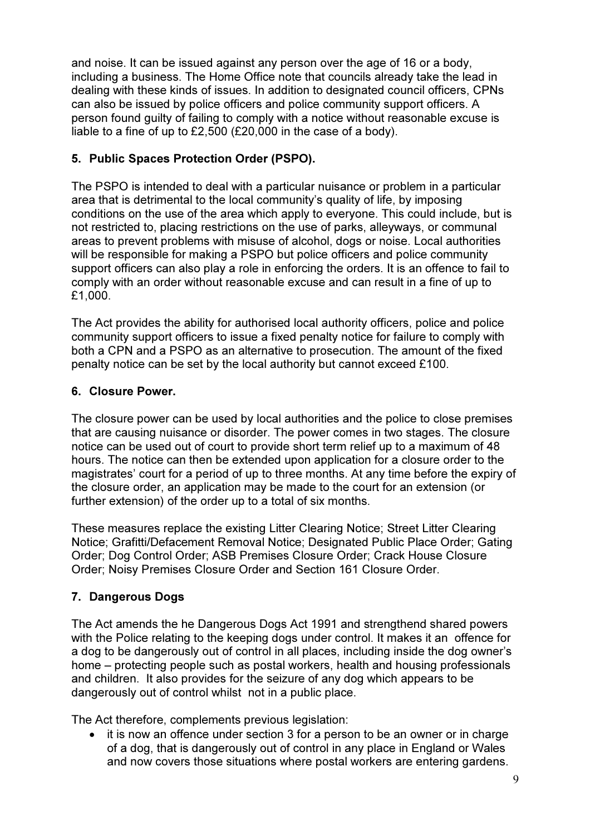and noise. It can be issued against any person over the age of 16 or a body, including a business. The Home Office note that councils already take the lead in dealing with these kinds of issues. In addition to designated council officers, CPNs can also be issued by police officers and police community support officers. A person found guilty of failing to comply with a notice without reasonable excuse is liable to a fine of up to £2,500 (£20,000 in the case of a body).

## 5. Public Spaces Protection Order (PSPO).

The PSPO is intended to deal with a particular nuisance or problem in a particular area that is detrimental to the local community's quality of life, by imposing conditions on the use of the area which apply to everyone. This could include, but is not restricted to, placing restrictions on the use of parks, alleyways, or communal areas to prevent problems with misuse of alcohol, dogs or noise. Local authorities will be responsible for making a PSPO but police officers and police community support officers can also play a role in enforcing the orders. It is an offence to fail to comply with an order without reasonable excuse and can result in a fine of up to £1,000.

The Act provides the ability for authorised local authority officers, police and police community support officers to issue a fixed penalty notice for failure to comply with both a CPN and a PSPO as an alternative to prosecution. The amount of the fixed penalty notice can be set by the local authority but cannot exceed £100.

## 6. Closure Power.

The closure power can be used by local authorities and the police to close premises that are causing nuisance or disorder. The power comes in two stages. The closure notice can be used out of court to provide short term relief up to a maximum of 48 hours. The notice can then be extended upon application for a closure order to the magistrates' court for a period of up to three months. At any time before the expiry of the closure order, an application may be made to the court for an extension (or further extension) of the order up to a total of six months.

These measures replace the existing Litter Clearing Notice; Street Litter Clearing Notice; Grafitti/Defacement Removal Notice; Designated Public Place Order; Gating Order; Dog Control Order; ASB Premises Closure Order; Crack House Closure Order; Noisy Premises Closure Order and Section 161 Closure Order.

## 7. Dangerous Dogs

The Act amends the he Dangerous Dogs Act 1991 and strengthend shared powers with the Police relating to the keeping dogs under control. It makes it an offence for a dog to be dangerously out of control in all places, including inside the dog owner's home – protecting people such as postal workers, health and housing professionals and children. It also provides for the seizure of any dog which appears to be dangerously out of control whilst not in a public place.

The Act therefore, complements previous legislation:

• it is now an offence under section 3 for a person to be an owner or in charge of a dog, that is dangerously out of control in any place in England or Wales and now covers those situations where postal workers are entering gardens.